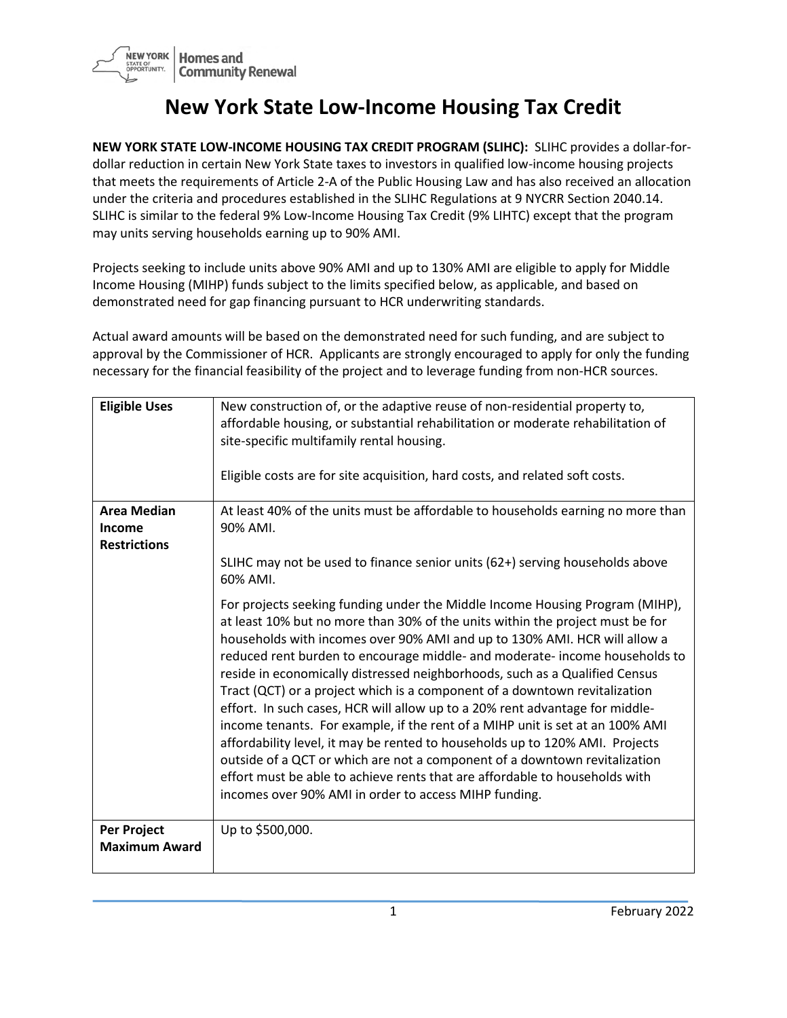

## **New York State Low-Income Housing Tax Credit**

**NEW YORK STATE LOW-INCOME HOUSING TAX CREDIT PROGRAM (SLIHC):** SLIHC provides a dollar-fordollar reduction in certain New York State taxes to investors in qualified low-income housing projects that meets the requirements of Article 2-A of the Public Housing Law and has also received an allocation under the criteria and procedures established in the SLIHC Regulations at 9 NYCRR Section 2040.14. SLIHC is similar to the federal 9% Low-Income Housing Tax Credit (9% LIHTC) except that the program may units serving households earning up to 90% AMI.

Projects seeking to include units above 90% AMI and up to 130% AMI are eligible to apply for Middle Income Housing (MIHP) funds subject to the limits specified below, as applicable, and based on demonstrated need for gap financing pursuant to HCR underwriting standards.

Actual award amounts will be based on the demonstrated need for such funding, and are subject to approval by the Commissioner of HCR. Applicants are strongly encouraged to apply for only the funding necessary for the financial feasibility of the project and to leverage funding from non-HCR sources.

| <b>Eligible Uses</b>                                       | New construction of, or the adaptive reuse of non-residential property to,<br>affordable housing, or substantial rehabilitation or moderate rehabilitation of<br>site-specific multifamily rental housing.                                                                                                                                                                                                                                                                                                                                                                                                                                                                                                                                                                                                                                                                                                                                                    |
|------------------------------------------------------------|---------------------------------------------------------------------------------------------------------------------------------------------------------------------------------------------------------------------------------------------------------------------------------------------------------------------------------------------------------------------------------------------------------------------------------------------------------------------------------------------------------------------------------------------------------------------------------------------------------------------------------------------------------------------------------------------------------------------------------------------------------------------------------------------------------------------------------------------------------------------------------------------------------------------------------------------------------------|
|                                                            | Eligible costs are for site acquisition, hard costs, and related soft costs.                                                                                                                                                                                                                                                                                                                                                                                                                                                                                                                                                                                                                                                                                                                                                                                                                                                                                  |
| <b>Area Median</b><br><b>Income</b><br><b>Restrictions</b> | At least 40% of the units must be affordable to households earning no more than<br>90% AMI.                                                                                                                                                                                                                                                                                                                                                                                                                                                                                                                                                                                                                                                                                                                                                                                                                                                                   |
|                                                            | SLIHC may not be used to finance senior units (62+) serving households above<br>60% AMI.                                                                                                                                                                                                                                                                                                                                                                                                                                                                                                                                                                                                                                                                                                                                                                                                                                                                      |
|                                                            | For projects seeking funding under the Middle Income Housing Program (MIHP),<br>at least 10% but no more than 30% of the units within the project must be for<br>households with incomes over 90% AMI and up to 130% AMI. HCR will allow a<br>reduced rent burden to encourage middle- and moderate- income households to<br>reside in economically distressed neighborhoods, such as a Qualified Census<br>Tract (QCT) or a project which is a component of a downtown revitalization<br>effort. In such cases, HCR will allow up to a 20% rent advantage for middle-<br>income tenants. For example, if the rent of a MIHP unit is set at an 100% AMI<br>affordability level, it may be rented to households up to 120% AMI. Projects<br>outside of a QCT or which are not a component of a downtown revitalization<br>effort must be able to achieve rents that are affordable to households with<br>incomes over 90% AMI in order to access MIHP funding. |
| Per Project<br><b>Maximum Award</b>                        | Up to \$500,000.                                                                                                                                                                                                                                                                                                                                                                                                                                                                                                                                                                                                                                                                                                                                                                                                                                                                                                                                              |
|                                                            |                                                                                                                                                                                                                                                                                                                                                                                                                                                                                                                                                                                                                                                                                                                                                                                                                                                                                                                                                               |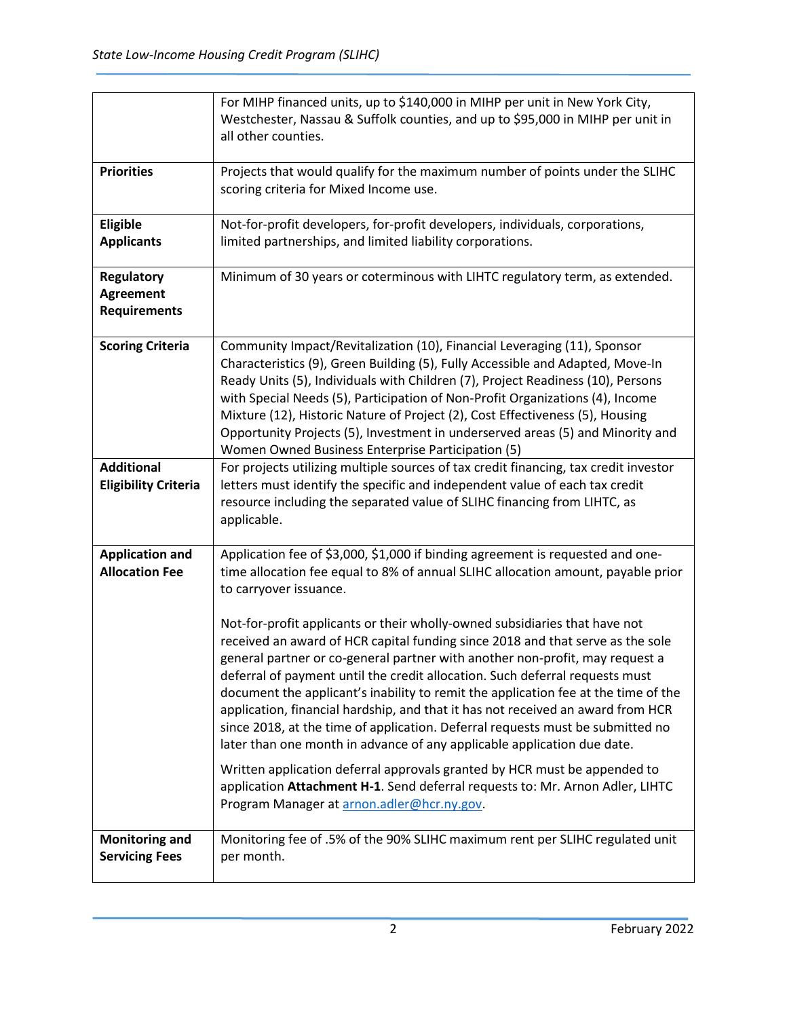|                                                              | For MIHP financed units, up to \$140,000 in MIHP per unit in New York City,<br>Westchester, Nassau & Suffolk counties, and up to \$95,000 in MIHP per unit in<br>all other counties.                                                                                                                                                                                                                                                                                                                                                                                                                                                                                                                                                                                                                                                                                                                                                                                                                                                                                           |
|--------------------------------------------------------------|--------------------------------------------------------------------------------------------------------------------------------------------------------------------------------------------------------------------------------------------------------------------------------------------------------------------------------------------------------------------------------------------------------------------------------------------------------------------------------------------------------------------------------------------------------------------------------------------------------------------------------------------------------------------------------------------------------------------------------------------------------------------------------------------------------------------------------------------------------------------------------------------------------------------------------------------------------------------------------------------------------------------------------------------------------------------------------|
| <b>Priorities</b>                                            | Projects that would qualify for the maximum number of points under the SLIHC<br>scoring criteria for Mixed Income use.                                                                                                                                                                                                                                                                                                                                                                                                                                                                                                                                                                                                                                                                                                                                                                                                                                                                                                                                                         |
| Eligible<br><b>Applicants</b>                                | Not-for-profit developers, for-profit developers, individuals, corporations,<br>limited partnerships, and limited liability corporations.                                                                                                                                                                                                                                                                                                                                                                                                                                                                                                                                                                                                                                                                                                                                                                                                                                                                                                                                      |
| <b>Regulatory</b><br><b>Agreement</b><br><b>Requirements</b> | Minimum of 30 years or coterminous with LIHTC regulatory term, as extended.                                                                                                                                                                                                                                                                                                                                                                                                                                                                                                                                                                                                                                                                                                                                                                                                                                                                                                                                                                                                    |
| <b>Scoring Criteria</b>                                      | Community Impact/Revitalization (10), Financial Leveraging (11), Sponsor<br>Characteristics (9), Green Building (5), Fully Accessible and Adapted, Move-In<br>Ready Units (5), Individuals with Children (7), Project Readiness (10), Persons<br>with Special Needs (5), Participation of Non-Profit Organizations (4), Income<br>Mixture (12), Historic Nature of Project (2), Cost Effectiveness (5), Housing<br>Opportunity Projects (5), Investment in underserved areas (5) and Minority and<br>Women Owned Business Enterprise Participation (5)                                                                                                                                                                                                                                                                                                                                                                                                                                                                                                                         |
| <b>Additional</b><br><b>Eligibility Criteria</b>             | For projects utilizing multiple sources of tax credit financing, tax credit investor<br>letters must identify the specific and independent value of each tax credit<br>resource including the separated value of SLIHC financing from LIHTC, as<br>applicable.                                                                                                                                                                                                                                                                                                                                                                                                                                                                                                                                                                                                                                                                                                                                                                                                                 |
| <b>Application and</b><br><b>Allocation Fee</b>              | Application fee of \$3,000, \$1,000 if binding agreement is requested and one-<br>time allocation fee equal to 8% of annual SLIHC allocation amount, payable prior<br>to carryover issuance.<br>Not-for-profit applicants or their wholly-owned subsidiaries that have not<br>received an award of HCR capital funding since 2018 and that serve as the sole<br>general partner or co-general partner with another non-profit, may request a<br>deferral of payment until the credit allocation. Such deferral requests must<br>document the applicant's inability to remit the application fee at the time of the<br>application, financial hardship, and that it has not received an award from HCR<br>since 2018, at the time of application. Deferral requests must be submitted no<br>later than one month in advance of any applicable application due date.<br>Written application deferral approvals granted by HCR must be appended to<br>application Attachment H-1. Send deferral requests to: Mr. Arnon Adler, LIHTC<br>Program Manager at arnon.adler@hcr.ny.gov. |
| <b>Monitoring and</b><br><b>Servicing Fees</b>               | Monitoring fee of .5% of the 90% SLIHC maximum rent per SLIHC regulated unit<br>per month.                                                                                                                                                                                                                                                                                                                                                                                                                                                                                                                                                                                                                                                                                                                                                                                                                                                                                                                                                                                     |